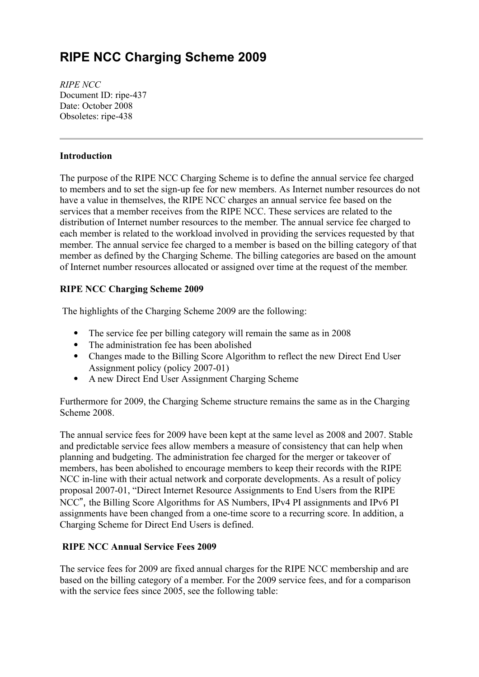# **RIPE NCC Charging Scheme 2009**

*RIPE NCC* Document ID: ripe-437 Date: October 2008 Obsoletes: ripe-438

### **Introduction**

The purpose of the RIPE NCC Charging Scheme is to define the annual service fee charged to members and to set the sign-up fee for new members. As Internet number resources do not have a value in themselves, the RIPE NCC charges an annual service fee based on the services that a member receives from the RIPE NCC. These services are related to the distribution of Internet number resources to the member. The annual service fee charged to each member is related to the workload involved in providing the services requested by that member. The annual service fee charged to a member is based on the billing category of that member as defined by the Charging Scheme. The billing categories are based on the amount of Internet number resources allocated or assigned over time at the request of the member*.*

# **RIPE NCC Charging Scheme 2009**

The highlights of the Charging Scheme 2009 are the following:

- The service fee per billing category will remain the same as in 2008
- The administration fee has been abolished
- Changes made to the Billing Score Algorithm to reflect the new Direct End User Assignment policy (policy 2007-01)
- A new Direct End User Assignment Charging Scheme

Furthermore for 2009, the Charging Scheme structure remains the same as in the Charging Scheme 2008.

The annual service fees for 2009 have been kept at the same level as 2008 and 2007. Stable and predictable service fees allow members a measure of consistency that can help when planning and budgeting. The administration fee charged for the merger or takeover of members, has been abolished to encourage members to keep their records with the RIPE NCC in-line with their actual network and corporate developments. As a result of policy proposal 2007-01, "Direct Internet Resource Assignments to End Users from the RIPE NCC", the Billing Score Algorithms for AS Numbers, IPv4 PI assignments and IPv6 PI assignments have been changed from a one-time score to a recurring score. In addition, a Charging Scheme for Direct End Users is defined.

#### **RIPE NCC Annual Service Fees 2009**

The service fees for 2009 are fixed annual charges for the RIPE NCC membership and are based on the billing category of a member. For the 2009 service fees, and for a comparison with the service fees since 2005, see the following table: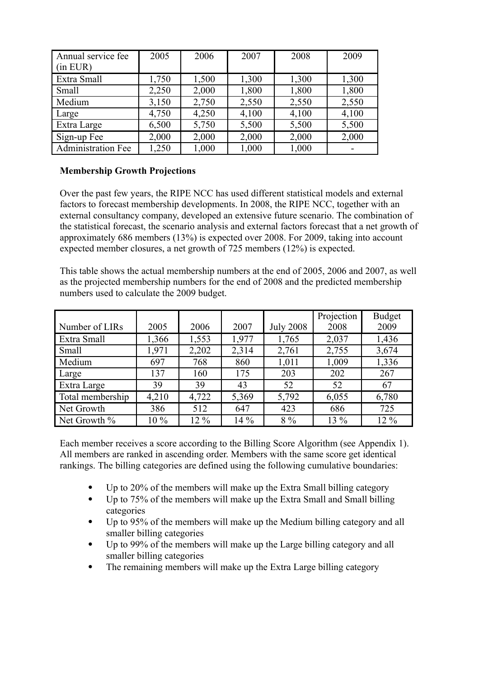| Annual service fee        | 2005  | 2006  | 2007  | 2008  | 2009  |
|---------------------------|-------|-------|-------|-------|-------|
| (in EUR)                  |       |       |       |       |       |
| Extra Small               | 1,750 | 1,500 | 1,300 | 1,300 | 1,300 |
| Small                     | 2,250 | 2,000 | 1,800 | 1,800 | 1,800 |
| Medium                    | 3,150 | 2,750 | 2,550 | 2,550 | 2,550 |
| Large                     | 4,750 | 4,250 | 4,100 | 4,100 | 4,100 |
| Extra Large               | 6,500 | 5,750 | 5,500 | 5,500 | 5,500 |
| Sign-up Fee               | 2,000 | 2,000 | 2,000 | 2,000 | 2,000 |
| <b>Administration Fee</b> | 1,250 | 1,000 | 1,000 | 1,000 |       |

# **Membership Growth Projections**

Over the past few years, the RIPE NCC has used different statistical models and external factors to forecast membership developments. In 2008, the RIPE NCC, together with an external consultancy company, developed an extensive future scenario. The combination of the statistical forecast, the scenario analysis and external factors forecast that a net growth of approximately 686 members (13%) is expected over 2008. For 2009, taking into account expected member closures, a net growth of 725 members (12%) is expected.

This table shows the actual membership numbers at the end of 2005, 2006 and 2007, as well as the projected membership numbers for the end of 2008 and the predicted membership numbers used to calculate the 2009 budget.

| Number of LIRs   | 2005  | 2006  | 2007   | <b>July 2008</b> | Projection<br>2008 | <b>Budget</b><br>2009 |
|------------------|-------|-------|--------|------------------|--------------------|-----------------------|
|                  |       |       |        |                  |                    |                       |
| Extra Small      | 1,366 | 1,553 | 1,977  | 1,765            | 2,037              | 1,436                 |
| Small            | 1,971 | 2,202 | 2,314  | 2,761            | 2,755              | 3,674                 |
| Medium           | 697   | 768   | 860    | 1,011            | 1,009              | 1,336                 |
| Large            | 137   | 160   | 175    | 203              | 202                | 267                   |
| Extra Large      | 39    | 39    | 43     | 52               | 52                 | 67                    |
| Total membership | 4,210 | 4,722 | 5,369  | 5,792            | 6,055              | 6,780                 |
| Net Growth       | 386   | 512   | 647    | 423              | 686                | 725                   |
| Net Growth %     | 10 %  | 12 %  | $14\%$ | $8\%$            | 13 %               | 12 %                  |

Each member receives a score according to the Billing Score Algorithm (see Appendix 1). All members are ranked in ascending order. Members with the same score get identical rankings. The billing categories are defined using the following cumulative boundaries:

- Up to 20% of the members will make up the Extra Small billing category
- Up to 75% of the members will make up the Extra Small and Small billing categories
- Up to 95% of the members will make up the Medium billing category and all smaller billing categories
- Up to 99% of the members will make up the Large billing category and all smaller billing categories
- The remaining members will make up the Extra Large billing category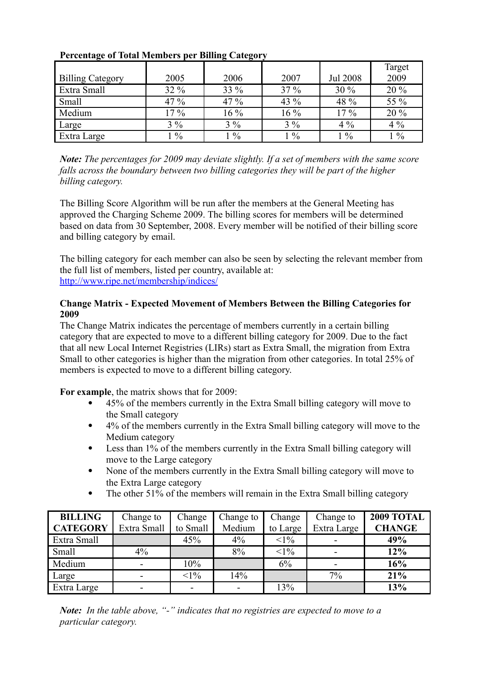|                         |               |               |        |                 | Target |
|-------------------------|---------------|---------------|--------|-----------------|--------|
| <b>Billing Category</b> | 2005          | 2006          | 2007   | <b>Jul 2008</b> | 2009   |
| Extra Small             | 32 %          | 33 %          | $37\%$ | $30\%$          | 20 %   |
| Small                   | 47 %          | 47 %          | 43 %   | 48 %            | 55 %   |
| Medium                  | $17\%$        | $16\%$        | 16 %   | $17\%$          | 20 %   |
| Large                   | $3\%$         | $3\%$         | $3\%$  | $4\%$           | $4\%$  |
| Extra Large             | $\frac{0}{0}$ | $\frac{0}{0}$ | $1\%$  | $1\%$           | $1\%$  |

# **Percentage of Total Members per Billing Category**

*Note: The percentages for 2009 may deviate slightly. If a set of members with the same score falls across the boundary between two billing categories they will be part of the higher billing category.*

The Billing Score Algorithm will be run after the members at the General Meeting has approved the Charging Scheme 2009. The billing scores for members will be determined based on data from 30 September, 2008. Every member will be notified of their billing score and billing category by email.

The billing category for each member can also be seen by selecting the relevant member from the full list of members, listed per country, available at: <http://www.ripe.net/membership/indices/>

#### **Change Matrix - Expected Movement of Members Between the Billing Categories for 2009**

The Change Matrix indicates the percentage of members currently in a certain billing category that are expected to move to a different billing category for 2009. Due to the fact that all new Local Internet Registries (LIRs) start as Extra Small, the migration from Extra Small to other categories is higher than the migration from other categories. In total 25% of members is expected to move to a different billing category.

**For example**, the matrix shows that for 2009:

- 45% of the members currently in the Extra Small billing category will move to the Small category
- 4% of the members currently in the Extra Small billing category will move to the Medium category
- Less than 1% of the members currently in the Extra Small billing category will move to the Large category
- None of the members currently in the Extra Small billing category will move to the Extra Large category
- The other 51% of the members will remain in the Extra Small billing category

| <b>BILLING</b>  | Change to   | Change   | Change to | Change   | Change to   | <b>2009 TOTAL</b> |
|-----------------|-------------|----------|-----------|----------|-------------|-------------------|
| <b>CATEGORY</b> | Extra Small | to Small | Medium    | to Large | Extra Large | <b>CHANGE</b>     |
| Extra Small     |             | 45%      | $4\%$     | $<1\%$   |             | 49%               |
| Small           | $4\%$       |          | 8%        | $<1\%$   |             | 12%               |
| Medium          | -           | 10%      |           | 6%       |             | 16%               |
| Large           | ۰.          | $<1\%$   | 14%       |          | 7%          | 21%               |
| Extra Large     | -           |          |           | 13%      |             | 13%               |

*Note: In the table above, "-" indicates that no registries are expected to move to a particular category.*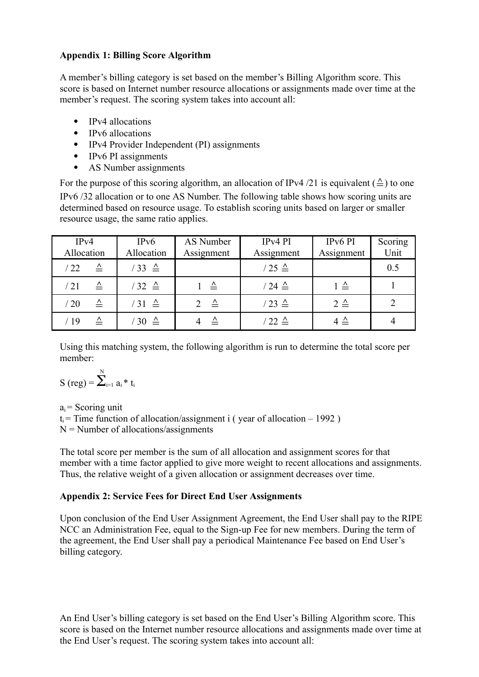#### **Appendix 1: Billing Score Algorithm**

A member's billing category is set based on the member's Billing Algorithm score. This score is based on Internet number resource allocations or assignments made over time at the member's request. The scoring system takes into account all:

- IPv4 allocations
- IPv6 allocations
- IPv4 Provider Independent (PI) assignments
- IPv6 PI assignments
- AS Number assignments

For the purpose of this scoring algorithm, an allocation of IPv4 /21 is equivalent ( $\triangle$ ) to one IPv6 /32 allocation or to one AS Number. The following table shows how scoring units are determined based on resource usage. To establish scoring units based on larger or smaller resource usage, the same ratio applies.

| IPv4<br>Allocation            | IPv6<br>Allocation | AS Number<br>Assignment | IPv4 PI<br>Assignment | IP <sub>v</sub> 6 PI<br>Assignment | Scoring<br>Unit |
|-------------------------------|--------------------|-------------------------|-----------------------|------------------------------------|-----------------|
| $\triangle$<br>/22            | $33 \triangleq$    |                         | $/25 \triangleq$      |                                    | 0.5             |
| $\triangle$<br>$\sqrt{21}$    | $32 \triangle$     | $\triangle$             | $/24 \triangleq$      | $1 \triangleq$                     |                 |
| $\overline{\mathbf{v}}$<br>20 | $31 \triangleq$    | $\Delta$                | $/23 \triangleq$      | $2 \triangle$                      | $\overline{2}$  |
| $\triangle$<br>'19            | $30 \triangleq$    | $\triangle$             | $'$ 22 $\triangleq$   | 4 $\triangleq$                     |                 |

Using this matching system, the following algorithm is run to determine the total score per member:

$$
S\ (reg) = \overset{\mathrm{N}}{\sum}_{i=1}^{N} \, a_i \, ^\ast \, t_i
$$

 $a_i$  = Scoring unit  $t_i$  = Time function of allocation/assignment i (year of allocation – 1992)  $N =$  Number of allocations/assignments

The total score per member is the sum of all allocation and assignment scores for that member with a time factor applied to give more weight to recent allocations and assignments. Thus, the relative weight of a given allocation or assignment decreases over time.

# **Appendix 2: Service Fees for Direct End User Assignments**

Upon conclusion of the End User Assignment Agreement, the End User shall pay to the RIPE NCC an Administration Fee, equal to the Sign-up Fee for new members. During the term of the agreement, the End User shall pay a periodical Maintenance Fee based on End User's billing category.

An End User's billing category is set based on the End User's Billing Algorithm score. This score is based on the Internet number resource allocations and assignments made over time at the End User's request. The scoring system takes into account all: